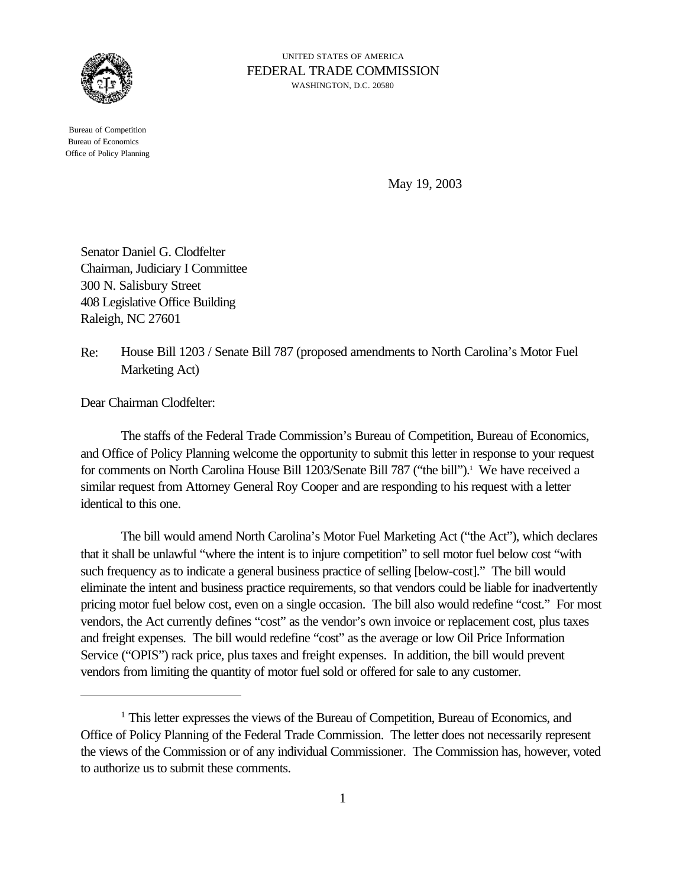

 Bureau of Competition Bureau of Economics Office of Policy Planning

UNITED STATES OF AMERICA FEDERAL TRADE COMMISSION WASHINGTON, D.C. 20580

May 19, 2003

Senator Daniel G. Clodfelter Chairman, Judiciary I Committee 300 N. Salisbury Street 408 Legislative Office Building Raleigh, NC 27601

Re: House Bill 1203 / Senate Bill 787 (proposed amendments to North Carolina's Motor Fuel Marketing Act)

Dear Chairman Clodfelter:

The staffs of the Federal Trade Commission's Bureau of Competition, Bureau of Economics, and Office of Policy Planning welcome the opportunity to submit this letter in response to your request for comments on North Carolina House Bill 1203/Senate Bill 787 ("the bill").<sup>1</sup> We have received a similar request from Attorney General Roy Cooper and are responding to his request with a letter identical to this one.

The bill would amend North Carolina's Motor Fuel Marketing Act ("the Act"), which declares that it shall be unlawful "where the intent is to injure competition" to sell motor fuel below cost "with such frequency as to indicate a general business practice of selling [below-cost]." The bill would eliminate the intent and business practice requirements, so that vendors could be liable for inadvertently pricing motor fuel below cost, even on a single occasion. The bill also would redefine "cost." For most vendors, the Act currently defines "cost" as the vendor's own invoice or replacement cost, plus taxes and freight expenses. The bill would redefine "cost" as the average or low Oil Price Information Service ("OPIS") rack price, plus taxes and freight expenses. In addition, the bill would prevent vendors from limiting the quantity of motor fuel sold or offered for sale to any customer.

<sup>&</sup>lt;sup>1</sup> This letter expresses the views of the Bureau of Competition, Bureau of Economics, and Office of Policy Planning of the Federal Trade Commission. The letter does not necessarily represent the views of the Commission or of any individual Commissioner. The Commission has, however, voted to authorize us to submit these comments.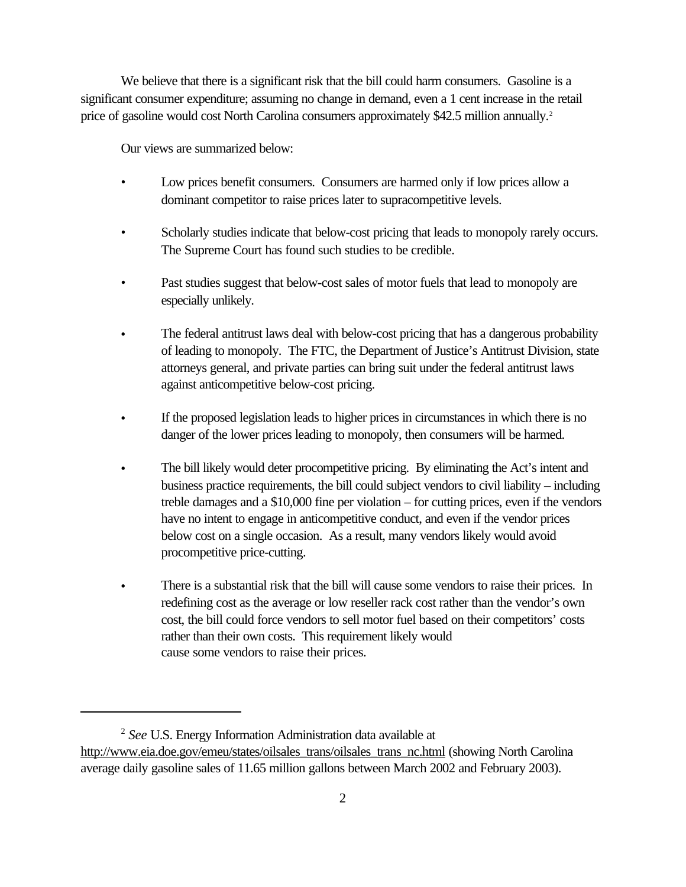We believe that there is a significant risk that the bill could harm consumers. Gasoline is a significant consumer expenditure; assuming no change in demand, even a 1 cent increase in the retail price of gasoline would cost North Carolina consumers approximately \$42.5 million annually.<sup>2</sup>

Our views are summarized below:

- Low prices benefit consumers. Consumers are harmed only if low prices allow a dominant competitor to raise prices later to supracompetitive levels.
- Scholarly studies indicate that below-cost pricing that leads to monopoly rarely occurs. The Supreme Court has found such studies to be credible.
- Past studies suggest that below-cost sales of motor fuels that lead to monopoly are especially unlikely.
- The federal antitrust laws deal with below-cost pricing that has a dangerous probability of leading to monopoly. The FTC, the Department of Justice's Antitrust Division, state attorneys general, and private parties can bring suit under the federal antitrust laws against anticompetitive below-cost pricing.
- If the proposed legislation leads to higher prices in circumstances in which there is no danger of the lower prices leading to monopoly, then consumers will be harmed.
- The bill likely would deter procompetitive pricing. By eliminating the Act's intent and business practice requirements, the bill could subject vendors to civil liability – including treble damages and a \$10,000 fine per violation – for cutting prices, even if the vendors have no intent to engage in anticompetitive conduct, and even if the vendor prices below cost on a single occasion. As a result, many vendors likely would avoid procompetitive price-cutting.
- There is a substantial risk that the bill will cause some vendors to raise their prices. In redefining cost as the average or low reseller rack cost rather than the vendor's own cost, the bill could force vendors to sell motor fuel based on their competitors' costs rather than their own costs. This requirement likely would cause some vendors to raise their prices.

<sup>2</sup> *See* U.S. Energy Information Administration data available at http://www.eia.doe.gov/emeu/states/oilsales\_trans/oilsales\_trans\_nc.html (showing North Carolina average daily gasoline sales of 11.65 million gallons between March 2002 and February 2003).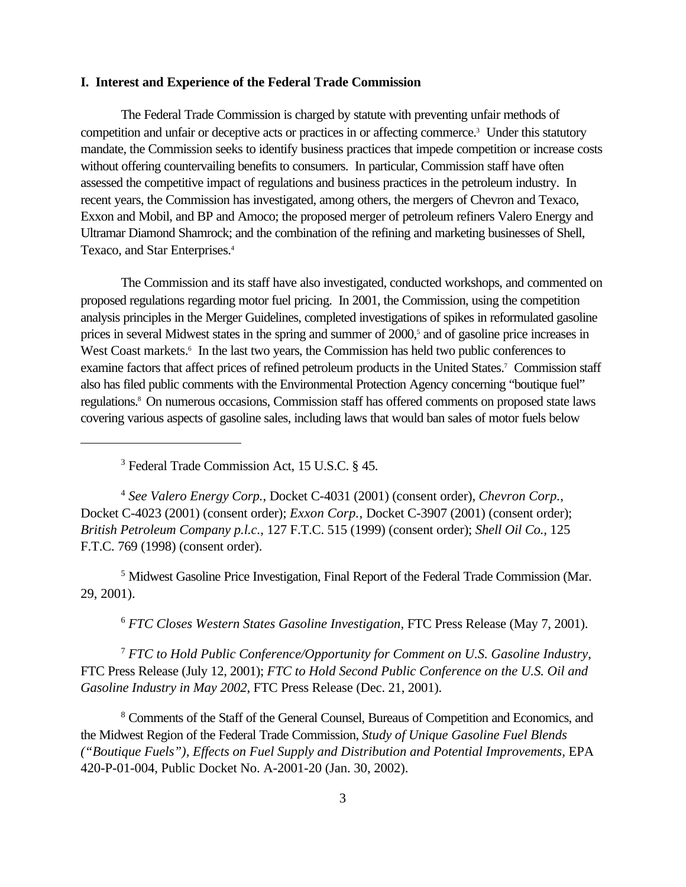#### **I. Interest and Experience of the Federal Trade Commission**

The Federal Trade Commission is charged by statute with preventing unfair methods of competition and unfair or deceptive acts or practices in or affecting commerce.<sup>3</sup> Under this statutory mandate, the Commission seeks to identify business practices that impede competition or increase costs without offering countervailing benefits to consumers. In particular, Commission staff have often assessed the competitive impact of regulations and business practices in the petroleum industry. In recent years, the Commission has investigated, among others, the mergers of Chevron and Texaco, Exxon and Mobil, and BP and Amoco; the proposed merger of petroleum refiners Valero Energy and Ultramar Diamond Shamrock; and the combination of the refining and marketing businesses of Shell, Texaco, and Star Enterprises.<sup>4</sup>

The Commission and its staff have also investigated, conducted workshops, and commented on proposed regulations regarding motor fuel pricing. In 2001, the Commission, using the competition analysis principles in the Merger Guidelines, completed investigations of spikes in reformulated gasoline prices in several Midwest states in the spring and summer of 2000,<sup>5</sup> and of gasoline price increases in West Coast markets.<sup>6</sup> In the last two years, the Commission has held two public conferences to examine factors that affect prices of refined petroleum products in the United States.<sup>7</sup> Commission staff also has filed public comments with the Environmental Protection Agency concerning "boutique fuel" regulations.<sup>8</sup> On numerous occasions, Commission staff has offered comments on proposed state laws covering various aspects of gasoline sales, including laws that would ban sales of motor fuels below

3 Federal Trade Commission Act, 15 U.S.C. § 45.

<sup>4</sup> *See Valero Energy Corp.*, Docket C-4031 (2001) (consent order), *Chevron Corp.*, Docket C-4023 (2001) (consent order); *Exxon Corp.,* Docket C-3907 (2001) (consent order); *British Petroleum Company p.l.c.,* 127 F.T.C. 515 (1999) (consent order); *Shell Oil Co.,* 125 F.T.C. 769 (1998) (consent order).

<sup>5</sup> Midwest Gasoline Price Investigation, Final Report of the Federal Trade Commission (Mar. 29, 2001).

<sup>6</sup> *FTC Closes Western States Gasoline Investigation,* FTC Press Release (May 7, 2001).

<sup>7</sup> *FTC to Hold Public Conference/Opportunity for Comment on U.S. Gasoline Industry,* FTC Press Release (July 12, 2001); *FTC to Hold Second Public Conference on the U.S. Oil and Gasoline Industry in May 2002*, FTC Press Release (Dec. 21, 2001).

<sup>8</sup> Comments of the Staff of the General Counsel, Bureaus of Competition and Economics, and the Midwest Region of the Federal Trade Commission, *Study of Unique Gasoline Fuel Blends ("Boutique Fuels"), Effects on Fuel Supply and Distribution and Potential Improvements, EPA* 420-P-01-004, Public Docket No. A-2001-20 (Jan. 30, 2002).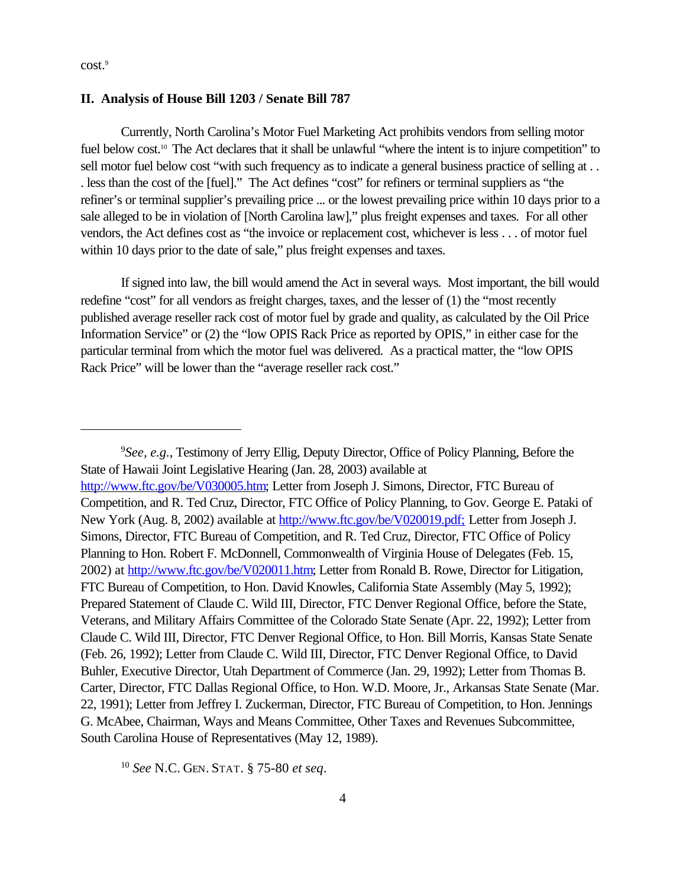cost.<sup>9</sup>

#### **II. Analysis of House Bill 1203 / Senate Bill 787**

Currently, North Carolina's Motor Fuel Marketing Act prohibits vendors from selling motor fuel below cost.<sup>10</sup> The Act declares that it shall be unlawful "where the intent is to injure competition" to sell motor fuel below cost "with such frequency as to indicate a general business practice of selling at . . . less than the cost of the [fuel]." The Act defines "cost" for refiners or terminal suppliers as "the refiner's or terminal supplier's prevailing price ... or the lowest prevailing price within 10 days prior to a sale alleged to be in violation of [North Carolina law]," plus freight expenses and taxes. For all other vendors, the Act defines cost as "the invoice or replacement cost, whichever is less . . . of motor fuel within 10 days prior to the date of sale," plus freight expenses and taxes.

If signed into law, the bill would amend the Act in several ways. Most important, the bill would redefine "cost" for all vendors as freight charges, taxes, and the lesser of (1) the "most recently published average reseller rack cost of motor fuel by grade and quality, as calculated by the Oil Price Information Service" or (2) the "low OPIS Rack Price as reported by OPIS," in either case for the particular terminal from which the motor fuel was delivered. As a practical matter, the "low OPIS Rack Price" will be lower than the "average reseller rack cost."

<sup>9</sup>*See, e.g.*, Testimony of Jerry Ellig, Deputy Director, Office of Policy Planning, Before the State of Hawaii Joint Legislative Hearing (Jan. 28, 2003) available at http://www.ftc.gov/be/V030005.htm; Letter from Joseph J. Simons, Director, FTC Bureau of Competition, and R. Ted Cruz, Director, FTC Office of Policy Planning, to Gov. George E. Pataki of New York (Aug. 8, 2002) available at http://www.ftc.gov/be/V020019.pdf; Letter from Joseph J. Simons, Director, FTC Bureau of Competition, and R. Ted Cruz, Director, FTC Office of Policy Planning to Hon. Robert F. McDonnell, Commonwealth of Virginia House of Delegates (Feb. 15, 2002) at http://www.ftc.gov/be/V020011.htm; Letter from Ronald B. Rowe, Director for Litigation, FTC Bureau of Competition, to Hon. David Knowles, California State Assembly (May 5, 1992); Prepared Statement of Claude C. Wild III, Director, FTC Denver Regional Office, before the State, Veterans, and Military Affairs Committee of the Colorado State Senate (Apr. 22, 1992); Letter from Claude C. Wild III, Director, FTC Denver Regional Office, to Hon. Bill Morris, Kansas State Senate (Feb. 26, 1992); Letter from Claude C. Wild III, Director, FTC Denver Regional Office, to David Buhler, Executive Director, Utah Department of Commerce (Jan. 29, 1992); Letter from Thomas B. Carter, Director, FTC Dallas Regional Office, to Hon. W.D. Moore, Jr., Arkansas State Senate (Mar. 22, 1991); Letter from Jeffrey I. Zuckerman, Director, FTC Bureau of Competition, to Hon. Jennings G. McAbee, Chairman, Ways and Means Committee, Other Taxes and Revenues Subcommittee, South Carolina House of Representatives (May 12, 1989).

<sup>10</sup> *See* N.C. GEN. STAT. § 75-80 *et seq*.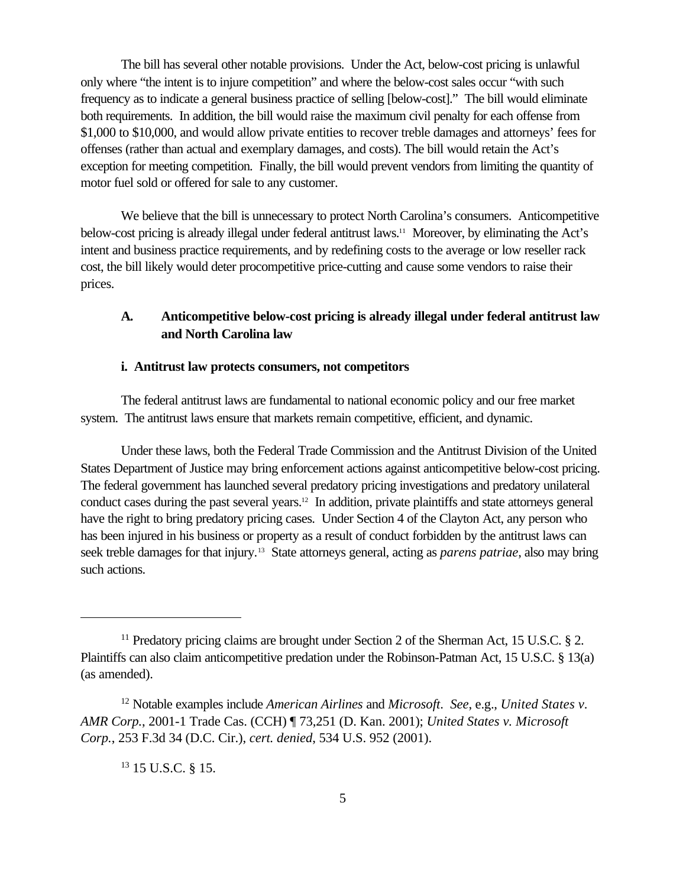The bill has several other notable provisions. Under the Act, below-cost pricing is unlawful only where "the intent is to injure competition" and where the below-cost sales occur "with such frequency as to indicate a general business practice of selling [below-cost]." The bill would eliminate both requirements. In addition, the bill would raise the maximum civil penalty for each offense from \$1,000 to \$10,000, and would allow private entities to recover treble damages and attorneys' fees for offenses (rather than actual and exemplary damages, and costs). The bill would retain the Act's exception for meeting competition. Finally, the bill would prevent vendors from limiting the quantity of motor fuel sold or offered for sale to any customer.

We believe that the bill is unnecessary to protect North Carolina's consumers. Anticompetitive below-cost pricing is already illegal under federal antitrust laws.11 Moreover, by eliminating the Act's intent and business practice requirements, and by redefining costs to the average or low reseller rack cost, the bill likely would deter procompetitive price-cutting and cause some vendors to raise their prices.

## **A. Anticompetitive below-cost pricing is already illegal under federal antitrust law and North Carolina law**

### **i. Antitrust law protects consumers, not competitors**

The federal antitrust laws are fundamental to national economic policy and our free market system. The antitrust laws ensure that markets remain competitive, efficient, and dynamic.

Under these laws, both the Federal Trade Commission and the Antitrust Division of the United States Department of Justice may bring enforcement actions against anticompetitive below-cost pricing. The federal government has launched several predatory pricing investigations and predatory unilateral conduct cases during the past several years.12 In addition, private plaintiffs and state attorneys general have the right to bring predatory pricing cases. Under Section 4 of the Clayton Act, any person who has been injured in his business or property as a result of conduct forbidden by the antitrust laws can seek treble damages for that injury.<sup>13</sup> State attorneys general, acting as *parens patriae*, also may bring such actions.

<sup>13</sup> 15 U.S.C. § 15.

<sup>&</sup>lt;sup>11</sup> Predatory pricing claims are brought under Section 2 of the Sherman Act, 15 U.S.C.  $\S$  2. Plaintiffs can also claim anticompetitive predation under the Robinson-Patman Act, 15 U.S.C. § 13(a) (as amended).

<sup>12</sup> Notable examples include *American Airlines* and *Microsoft*. *See*, e.g., *United States v. AMR Corp.*, 2001-1 Trade Cas. (CCH) ¶ 73,251 (D. Kan. 2001); *United States v. Microsoft Corp.*, 253 F.3d 34 (D.C. Cir.), *cert. denied*, 534 U.S. 952 (2001).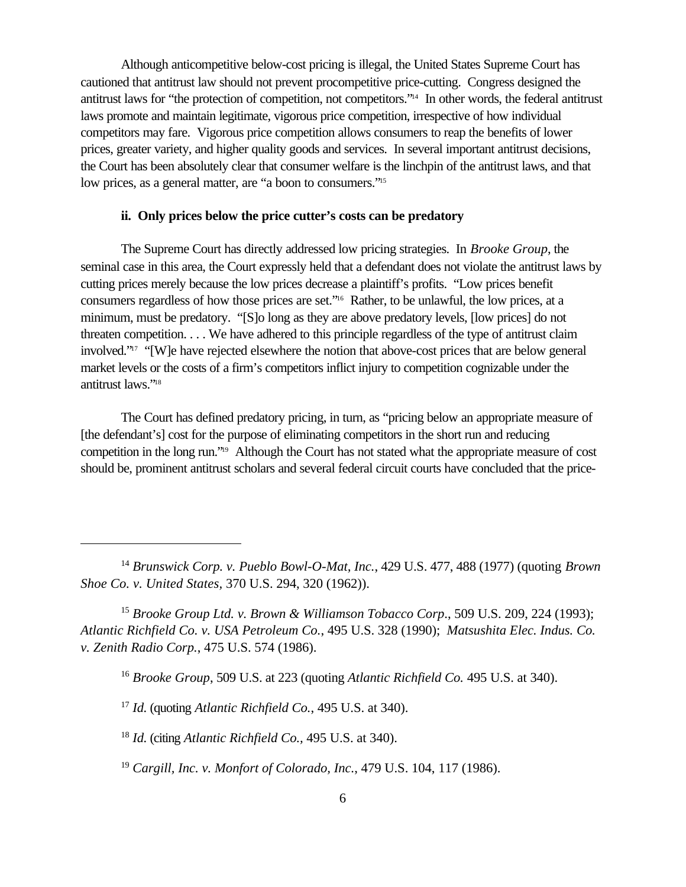Although anticompetitive below-cost pricing is illegal, the United States Supreme Court has cautioned that antitrust law should not prevent procompetitive price-cutting. Congress designed the antitrust laws for "the protection of competition, not competitors."14 In other words, the federal antitrust laws promote and maintain legitimate, vigorous price competition, irrespective of how individual competitors may fare. Vigorous price competition allows consumers to reap the benefits of lower prices, greater variety, and higher quality goods and services. In several important antitrust decisions, the Court has been absolutely clear that consumer welfare is the linchpin of the antitrust laws, and that low prices, as a general matter, are "a boon to consumers."<sup>15</sup>

### **ii. Only prices below the price cutter's costs can be predatory**

The Supreme Court has directly addressed low pricing strategies. In *Brooke Group*, the seminal case in this area, the Court expressly held that a defendant does not violate the antitrust laws by cutting prices merely because the low prices decrease a plaintiff's profits. "Low prices benefit consumers regardless of how those prices are set."16 Rather, to be unlawful, the low prices, at a minimum, must be predatory. "[S]o long as they are above predatory levels, [low prices] do not threaten competition. . . . We have adhered to this principle regardless of the type of antitrust claim involved."17 "[W]e have rejected elsewhere the notion that above-cost prices that are below general market levels or the costs of a firm's competitors inflict injury to competition cognizable under the antitrust laws."<sup>18</sup>

The Court has defined predatory pricing, in turn, as "pricing below an appropriate measure of [the defendant's] cost for the purpose of eliminating competitors in the short run and reducing competition in the long run."19 Although the Court has not stated what the appropriate measure of cost should be, prominent antitrust scholars and several federal circuit courts have concluded that the price-

<sup>14</sup> *Brunswick Corp. v. Pueblo Bowl-O-Mat, Inc.*, 429 U.S. 477, 488 (1977) (quoting *Brown Shoe Co. v. United States,* 370 U.S. 294, 320 (1962)).

<sup>15</sup> *Brooke Group Ltd. v. Brown & Williamson Tobacco Corp*., 509 U.S. 209, 224 (1993); *Atlantic Richfield Co. v. USA Petroleum Co.*, 495 U.S. 328 (1990); *Matsushita Elec. Indus. Co. v. Zenith Radio Corp.*, 475 U.S. 574 (1986).

<sup>16</sup> *Brooke Group*, 509 U.S. at 223 (quoting *Atlantic Richfield Co.* 495 U.S. at 340).

<sup>17</sup> *Id.* (quoting *Atlantic Richfield Co.*, 495 U.S. at 340).

<sup>18</sup> *Id.* (citing *Atlantic Richfield Co.,* 495 U.S. at 340).

<sup>19</sup> *Cargill, Inc. v. Monfort of Colorado, Inc.*, 479 U.S. 104, 117 (1986).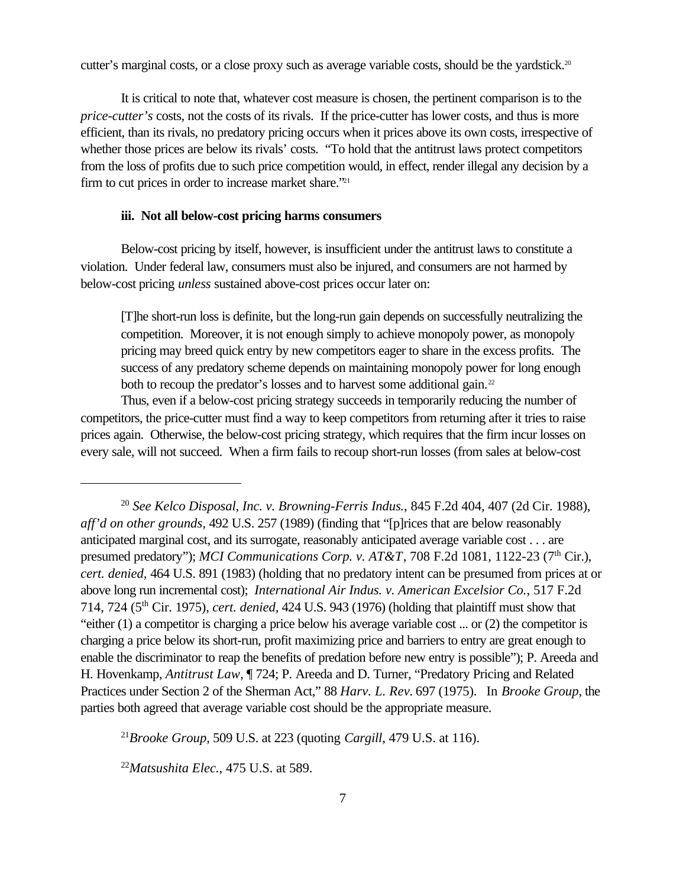cutter's marginal costs, or a close proxy such as average variable costs, should be the yardstick.<sup>20</sup>

It is critical to note that, whatever cost measure is chosen, the pertinent comparison is to the *price-cutter's* costs, not the costs of its rivals. If the price-cutter has lower costs, and thus is more efficient, than its rivals, no predatory pricing occurs when it prices above its own costs, irrespective of whether those prices are below its rivals' costs. "To hold that the antitrust laws protect competitors from the loss of profits due to such price competition would, in effect, render illegal any decision by a firm to cut prices in order to increase market share."<sup>21</sup>

#### **iii. Not all below-cost pricing harms consumers**

Below-cost pricing by itself, however, is insufficient under the antitrust laws to constitute a violation. Under federal law, consumers must also be injured, and consumers are not harmed by below-cost pricing *unless* sustained above-cost prices occur later on:

[T]he short-run loss is definite, but the long-run gain depends on successfully neutralizing the competition. Moreover, it is not enough simply to achieve monopoly power, as monopoly pricing may breed quick entry by new competitors eager to share in the excess profits. The success of any predatory scheme depends on maintaining monopoly power for long enough both to recoup the predator's losses and to harvest some additional gain.<sup>22</sup>

Thus, even if a below-cost pricing strategy succeeds in temporarily reducing the number of competitors, the price-cutter must find a way to keep competitors from returning after it tries to raise prices again. Otherwise, the below-cost pricing strategy, which requires that the firm incur losses on every sale, will not succeed. When a firm fails to recoup short-run losses (from sales at below-cost

<sup>21</sup>*Brooke Group*, 509 U.S. at 223 (quoting *Cargill*, 479 U.S. at 116).

<sup>22</sup>*Matsushita Elec.*, 475 U.S. at 589.

<sup>20</sup> *See Kelco Disposal, Inc. v. Browning-Ferris Indus.*, 845 F.2d 404, 407 (2d Cir. 1988), *aff'd on other grounds,* 492 U.S. 257 (1989) (finding that "[p]rices that are below reasonably anticipated marginal cost, and its surrogate, reasonably anticipated average variable cost . . . are presumed predatory"); *MCI Communications Corp. v. AT&T*, 708 F.2d 1081, 1122-23 (7<sup>th</sup> Cir.), *cert. denied,* 464 U.S. 891 (1983) (holding that no predatory intent can be presumed from prices at or above long run incremental cost); *International Air Indus. v. American Excelsior Co.*, 517 F.2d 714, 724 (5th Cir. 1975), *cert. denied*, 424 U.S. 943 (1976) (holding that plaintiff must show that "either (1) a competitor is charging a price below his average variable cost ... or (2) the competitor is charging a price below its short-run, profit maximizing price and barriers to entry are great enough to enable the discriminator to reap the benefits of predation before new entry is possible"); P. Areeda and H. Hovenkamp, *Antitrust Law*, ¶ 724; P. Areeda and D. Turner, "Predatory Pricing and Related Practices under Section 2 of the Sherman Act," 88 *Harv. L. Rev.* 697 (1975). In *Brooke Group*, the parties both agreed that average variable cost should be the appropriate measure.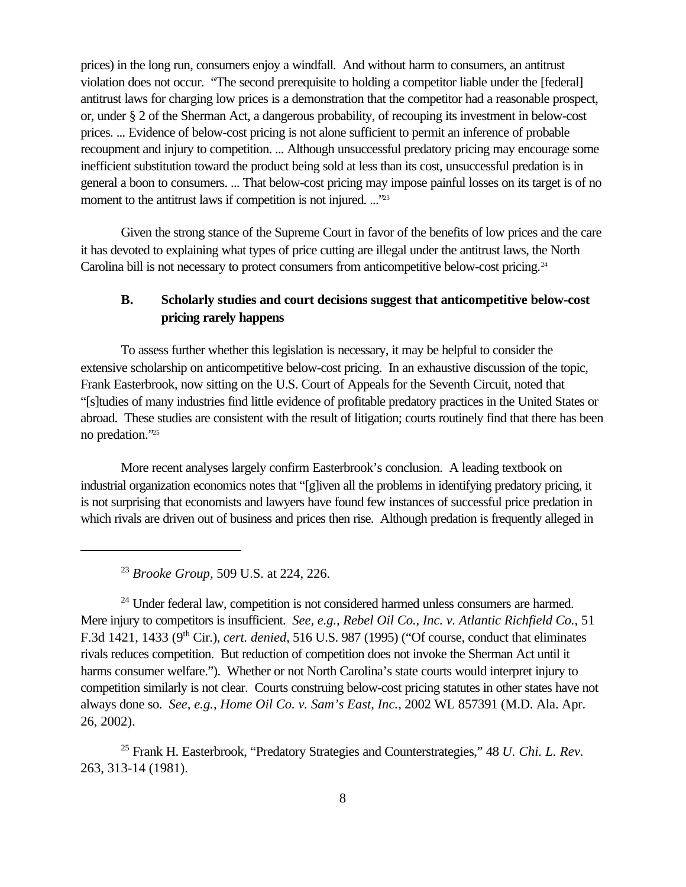prices) in the long run, consumers enjoy a windfall. And without harm to consumers, an antitrust violation does not occur. "The second prerequisite to holding a competitor liable under the [federal] antitrust laws for charging low prices is a demonstration that the competitor had a reasonable prospect, or, under § 2 of the Sherman Act, a dangerous probability, of recouping its investment in below-cost prices. ... Evidence of below-cost pricing is not alone sufficient to permit an inference of probable recoupment and injury to competition. ... Although unsuccessful predatory pricing may encourage some inefficient substitution toward the product being sold at less than its cost, unsuccessful predation is in general a boon to consumers. ... That below-cost pricing may impose painful losses on its target is of no moment to the antitrust laws if competition is not injured. ..."<sup>23</sup>

Given the strong stance of the Supreme Court in favor of the benefits of low prices and the care it has devoted to explaining what types of price cutting are illegal under the antitrust laws, the North Carolina bill is not necessary to protect consumers from anticompetitive below-cost pricing.<sup>24</sup>

# **B. Scholarly studies and court decisions suggest that anticompetitive below-cost pricing rarely happens**

To assess further whether this legislation is necessary, it may be helpful to consider the extensive scholarship on anticompetitive below-cost pricing. In an exhaustive discussion of the topic, Frank Easterbrook, now sitting on the U.S. Court of Appeals for the Seventh Circuit, noted that "[s]tudies of many industries find little evidence of profitable predatory practices in the United States or abroad. These studies are consistent with the result of litigation; courts routinely find that there has been no predation."<sup>25</sup>

More recent analyses largely confirm Easterbrook's conclusion. A leading textbook on industrial organization economics notes that "[g]iven all the problems in identifying predatory pricing, it is not surprising that economists and lawyers have found few instances of successful price predation in which rivals are driven out of business and prices then rise. Although predation is frequently alleged in

<sup>23</sup> *Brooke Group,* 509 U.S. at 224, 226.

<sup>24</sup> Under federal law, competition is not considered harmed unless consumers are harmed. Mere injury to competitors is insufficient. *See, e.g., Rebel Oil Co., Inc. v. Atlantic Richfield Co.*, 51 F.3d 1421, 1433 (9th Cir.), *cert. denied*, 516 U.S. 987 (1995) ("Of course, conduct that eliminates rivals reduces competition. But reduction of competition does not invoke the Sherman Act until it harms consumer welfare."). Whether or not North Carolina's state courts would interpret injury to competition similarly is not clear. Courts construing below-cost pricing statutes in other states have not always done so. *See, e.g., Home Oil Co. v. Sam's East, Inc.*, 2002 WL 857391 (M.D. Ala. Apr. 26, 2002).

<sup>25</sup> Frank H. Easterbrook, "Predatory Strategies and Counterstrategies," 48 *U. Chi. L. Rev.* 263, 313-14 (1981).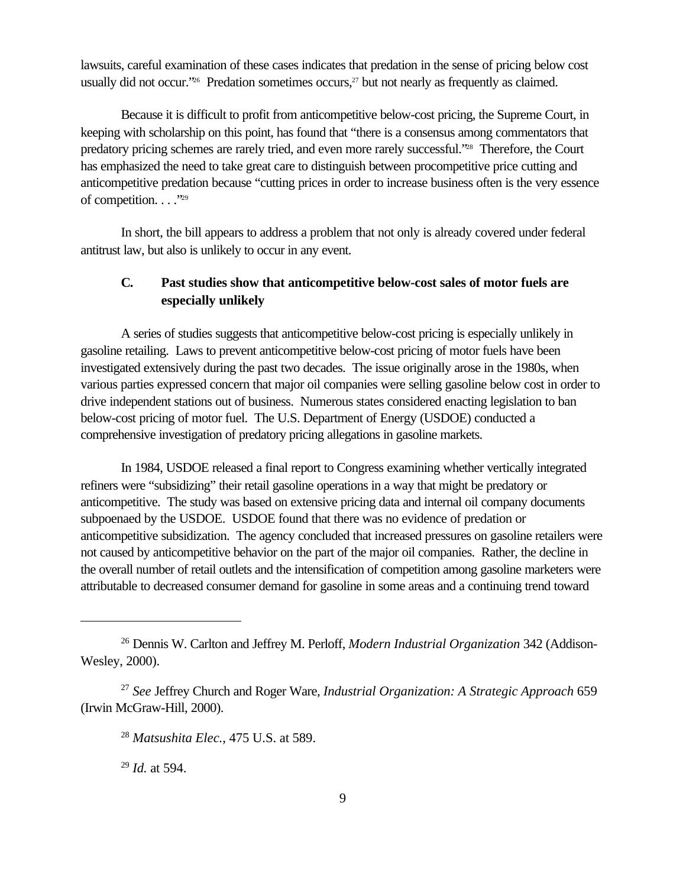lawsuits, careful examination of these cases indicates that predation in the sense of pricing below cost usually did not occur."<sup>26</sup> Predation sometimes occurs,<sup>27</sup> but not nearly as frequently as claimed.

Because it is difficult to profit from anticompetitive below-cost pricing, the Supreme Court, in keeping with scholarship on this point, has found that "there is a consensus among commentators that predatory pricing schemes are rarely tried, and even more rarely successful."28 Therefore, the Court has emphasized the need to take great care to distinguish between procompetitive price cutting and anticompetitive predation because "cutting prices in order to increase business often is the very essence of competition. . . . "29"

In short, the bill appears to address a problem that not only is already covered under federal antitrust law, but also is unlikely to occur in any event.

# **C. Past studies show that anticompetitive below-cost sales of motor fuels are especially unlikely**

A series of studies suggests that anticompetitive below-cost pricing is especially unlikely in gasoline retailing. Laws to prevent anticompetitive below-cost pricing of motor fuels have been investigated extensively during the past two decades. The issue originally arose in the 1980s, when various parties expressed concern that major oil companies were selling gasoline below cost in order to drive independent stations out of business. Numerous states considered enacting legislation to ban below-cost pricing of motor fuel. The U.S. Department of Energy (USDOE) conducted a comprehensive investigation of predatory pricing allegations in gasoline markets.

In 1984, USDOE released a final report to Congress examining whether vertically integrated refiners were "subsidizing" their retail gasoline operations in a way that might be predatory or anticompetitive. The study was based on extensive pricing data and internal oil company documents subpoenaed by the USDOE. USDOE found that there was no evidence of predation or anticompetitive subsidization. The agency concluded that increased pressures on gasoline retailers were not caused by anticompetitive behavior on the part of the major oil companies. Rather, the decline in the overall number of retail outlets and the intensification of competition among gasoline marketers were attributable to decreased consumer demand for gasoline in some areas and a continuing trend toward

<sup>29</sup> *Id.* at 594.

<sup>26</sup> Dennis W. Carlton and Jeffrey M. Perloff, *Modern Industrial Organization* 342 (Addison-Wesley, 2000).

<sup>27</sup> *See* Jeffrey Church and Roger Ware, *Industrial Organization: A Strategic Approach* 659 (Irwin McGraw-Hill, 2000).

<sup>28</sup> *Matsushita Elec.*, 475 U.S. at 589.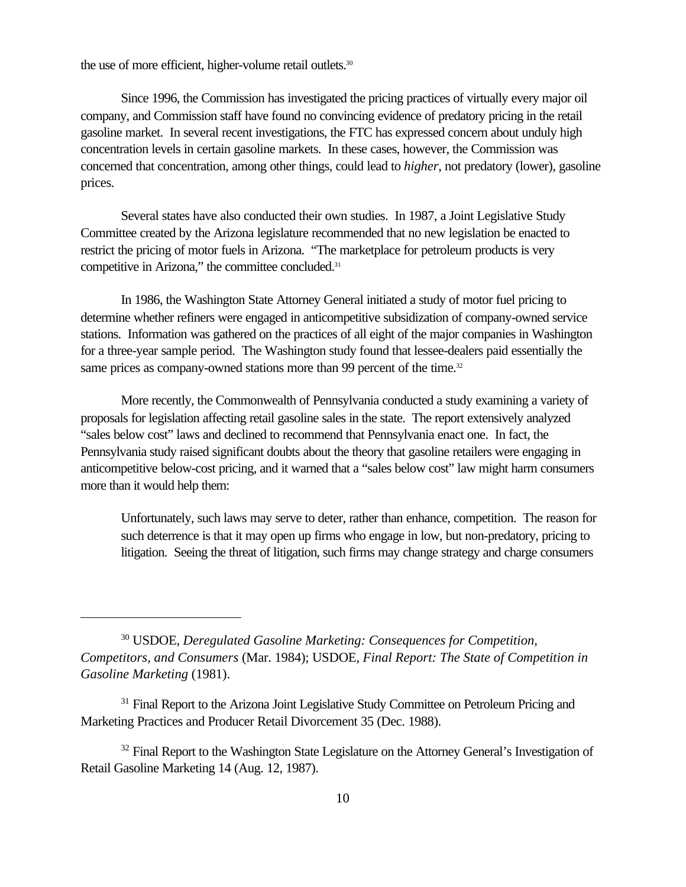the use of more efficient, higher-volume retail outlets.<sup>30</sup>

Since 1996, the Commission has investigated the pricing practices of virtually every major oil company, and Commission staff have found no convincing evidence of predatory pricing in the retail gasoline market. In several recent investigations, the FTC has expressed concern about unduly high concentration levels in certain gasoline markets. In these cases, however, the Commission was concerned that concentration, among other things, could lead to *higher*, not predatory (lower), gasoline prices.

Several states have also conducted their own studies. In 1987, a Joint Legislative Study Committee created by the Arizona legislature recommended that no new legislation be enacted to restrict the pricing of motor fuels in Arizona. "The marketplace for petroleum products is very competitive in Arizona," the committee concluded.<sup>31</sup>

In 1986, the Washington State Attorney General initiated a study of motor fuel pricing to determine whether refiners were engaged in anticompetitive subsidization of company-owned service stations. Information was gathered on the practices of all eight of the major companies in Washington for a three-year sample period. The Washington study found that lessee-dealers paid essentially the same prices as company-owned stations more than 99 percent of the time.<sup>32</sup>

More recently, the Commonwealth of Pennsylvania conducted a study examining a variety of proposals for legislation affecting retail gasoline sales in the state. The report extensively analyzed "sales below cost" laws and declined to recommend that Pennsylvania enact one. In fact, the Pennsylvania study raised significant doubts about the theory that gasoline retailers were engaging in anticompetitive below-cost pricing, and it warned that a "sales below cost" law might harm consumers more than it would help them:

Unfortunately, such laws may serve to deter, rather than enhance, competition. The reason for such deterrence is that it may open up firms who engage in low, but non-predatory, pricing to litigation. Seeing the threat of litigation, such firms may change strategy and charge consumers

<sup>30</sup> USDOE, *Deregulated Gasoline Marketing: Consequences for Competition, Competitors, and Consumers* (Mar. 1984); USDOE, *Final Report: The State of Competition in Gasoline Marketing* (1981).

<sup>&</sup>lt;sup>31</sup> Final Report to the Arizona Joint Legislative Study Committee on Petroleum Pricing and Marketing Practices and Producer Retail Divorcement 35 (Dec. 1988).

 $32$  Final Report to the Washington State Legislature on the Attorney General's Investigation of Retail Gasoline Marketing 14 (Aug. 12, 1987).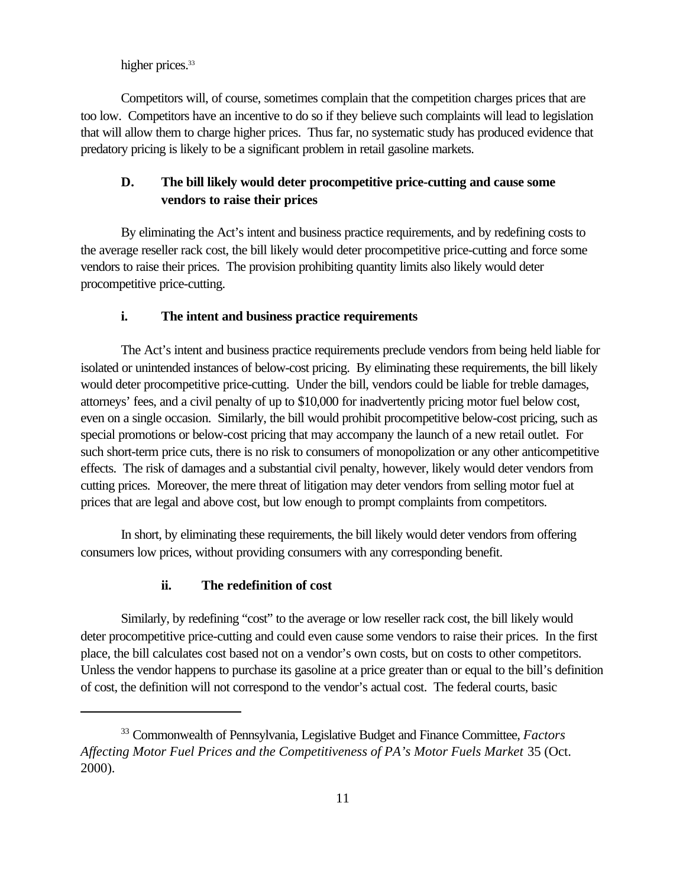higher prices.<sup>33</sup>

Competitors will, of course, sometimes complain that the competition charges prices that are too low. Competitors have an incentive to do so if they believe such complaints will lead to legislation that will allow them to charge higher prices. Thus far, no systematic study has produced evidence that predatory pricing is likely to be a significant problem in retail gasoline markets.

## **D. The bill likely would deter procompetitive price-cutting and cause some vendors to raise their prices**

By eliminating the Act's intent and business practice requirements, and by redefining costs to the average reseller rack cost, the bill likely would deter procompetitive price-cutting and force some vendors to raise their prices. The provision prohibiting quantity limits also likely would deter procompetitive price-cutting.

### **i. The intent and business practice requirements**

The Act's intent and business practice requirements preclude vendors from being held liable for isolated or unintended instances of below-cost pricing. By eliminating these requirements, the bill likely would deter procompetitive price-cutting. Under the bill, vendors could be liable for treble damages, attorneys' fees, and a civil penalty of up to \$10,000 for inadvertently pricing motor fuel below cost, even on a single occasion. Similarly, the bill would prohibit procompetitive below-cost pricing, such as special promotions or below-cost pricing that may accompany the launch of a new retail outlet. For such short-term price cuts, there is no risk to consumers of monopolization or any other anticompetitive effects. The risk of damages and a substantial civil penalty, however, likely would deter vendors from cutting prices. Moreover, the mere threat of litigation may deter vendors from selling motor fuel at prices that are legal and above cost, but low enough to prompt complaints from competitors.

In short, by eliminating these requirements, the bill likely would deter vendors from offering consumers low prices, without providing consumers with any corresponding benefit.

### **ii. The redefinition of cost**

Similarly, by redefining "cost" to the average or low reseller rack cost, the bill likely would deter procompetitive price-cutting and could even cause some vendors to raise their prices. In the first place, the bill calculates cost based not on a vendor's own costs, but on costs to other competitors. Unless the vendor happens to purchase its gasoline at a price greater than or equal to the bill's definition of cost, the definition will not correspond to the vendor's actual cost. The federal courts, basic

<sup>33</sup> Commonwealth of Pennsylvania, Legislative Budget and Finance Committee, *Factors Affecting Motor Fuel Prices and the Competitiveness of PA's Motor Fuels Market* 35 (Oct. 2000).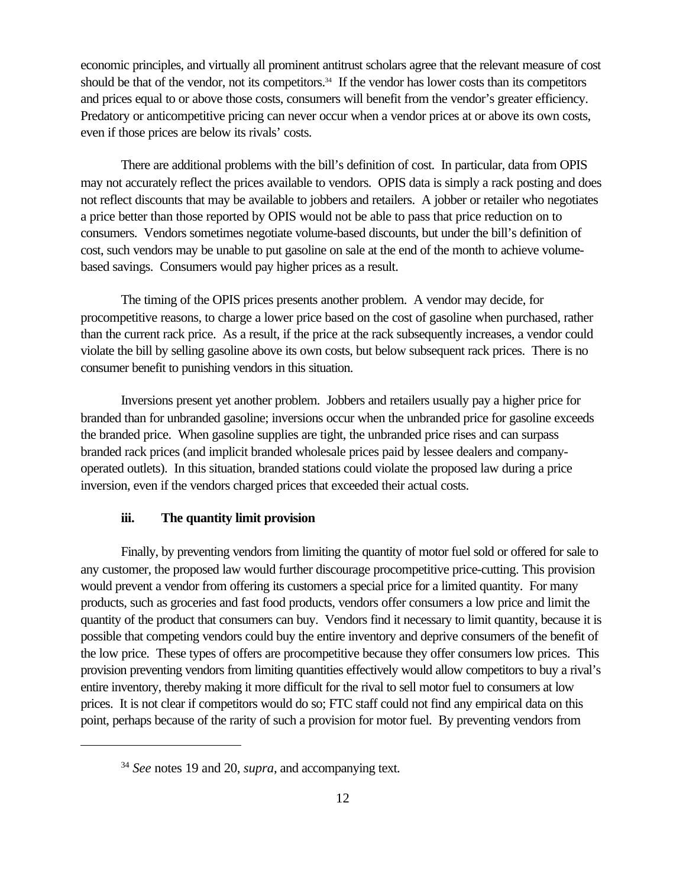economic principles, and virtually all prominent antitrust scholars agree that the relevant measure of cost should be that of the vendor, not its competitors.<sup>34</sup> If the vendor has lower costs than its competitors and prices equal to or above those costs, consumers will benefit from the vendor's greater efficiency. Predatory or anticompetitive pricing can never occur when a vendor prices at or above its own costs, even if those prices are below its rivals' costs.

There are additional problems with the bill's definition of cost. In particular, data from OPIS may not accurately reflect the prices available to vendors. OPIS data is simply a rack posting and does not reflect discounts that may be available to jobbers and retailers. A jobber or retailer who negotiates a price better than those reported by OPIS would not be able to pass that price reduction on to consumers. Vendors sometimes negotiate volume-based discounts, but under the bill's definition of cost, such vendors may be unable to put gasoline on sale at the end of the month to achieve volumebased savings. Consumers would pay higher prices as a result.

The timing of the OPIS prices presents another problem. A vendor may decide, for procompetitive reasons, to charge a lower price based on the cost of gasoline when purchased, rather than the current rack price. As a result, if the price at the rack subsequently increases, a vendor could violate the bill by selling gasoline above its own costs, but below subsequent rack prices. There is no consumer benefit to punishing vendors in this situation.

Inversions present yet another problem. Jobbers and retailers usually pay a higher price for branded than for unbranded gasoline; inversions occur when the unbranded price for gasoline exceeds the branded price. When gasoline supplies are tight, the unbranded price rises and can surpass branded rack prices (and implicit branded wholesale prices paid by lessee dealers and companyoperated outlets). In this situation, branded stations could violate the proposed law during a price inversion, even if the vendors charged prices that exceeded their actual costs.

### **iii. The quantity limit provision**

Finally, by preventing vendors from limiting the quantity of motor fuel sold or offered for sale to any customer, the proposed law would further discourage procompetitive price-cutting. This provision would prevent a vendor from offering its customers a special price for a limited quantity. For many products, such as groceries and fast food products, vendors offer consumers a low price and limit the quantity of the product that consumers can buy. Vendors find it necessary to limit quantity, because it is possible that competing vendors could buy the entire inventory and deprive consumers of the benefit of the low price. These types of offers are procompetitive because they offer consumers low prices. This provision preventing vendors from limiting quantities effectively would allow competitors to buy a rival's entire inventory, thereby making it more difficult for the rival to sell motor fuel to consumers at low prices. It is not clear if competitors would do so; FTC staff could not find any empirical data on this point, perhaps because of the rarity of such a provision for motor fuel. By preventing vendors from

<sup>34</sup> *See* notes 19 and 20, *supra*, and accompanying text.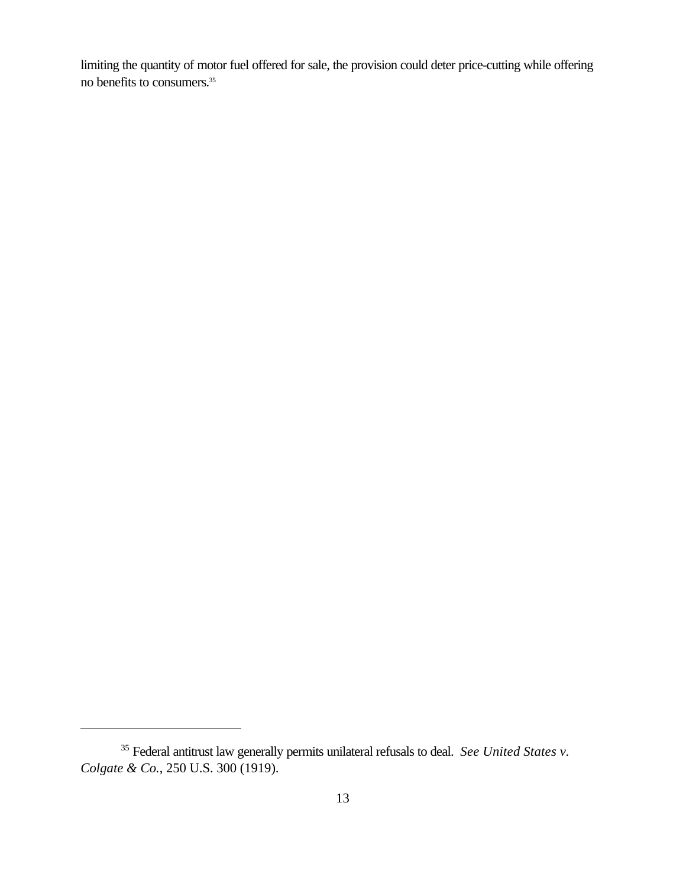limiting the quantity of motor fuel offered for sale, the provision could deter price-cutting while offering no benefits to consumers.35

<sup>35</sup> Federal antitrust law generally permits unilateral refusals to deal. *See United States v. Colgate & Co.*, 250 U.S. 300 (1919).